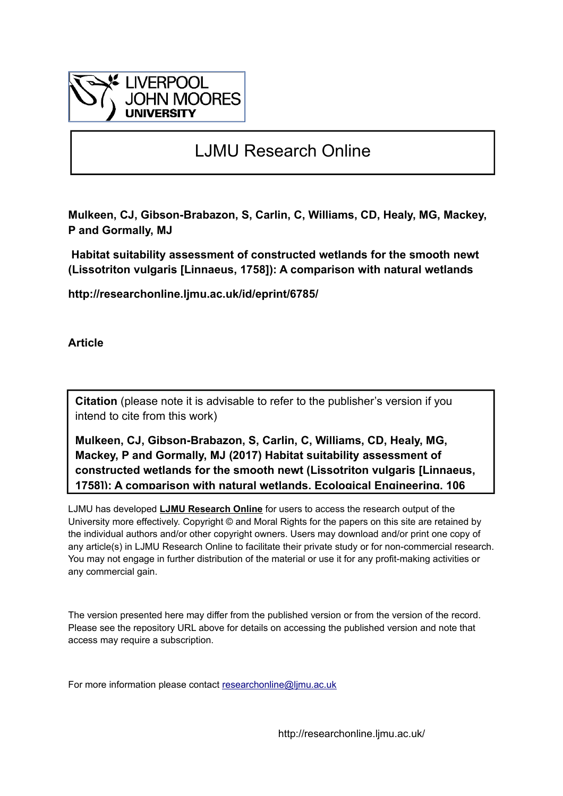

# LJMU Research Online

**Mulkeen, CJ, Gibson-Brabazon, S, Carlin, C, Williams, CD, Healy, MG, Mackey, P and Gormally, MJ**

 **Habitat suitability assessment of constructed wetlands for the smooth newt (Lissotriton vulgaris [Linnaeus, 1758]): A comparison with natural wetlands**

**http://researchonline.ljmu.ac.uk/id/eprint/6785/**

**Article**

**Citation** (please note it is advisable to refer to the publisher's version if you intend to cite from this work)

**Mulkeen, CJ, Gibson-Brabazon, S, Carlin, C, Williams, CD, Healy, MG, Mackey, P and Gormally, MJ (2017) Habitat suitability assessment of constructed wetlands for the smooth newt (Lissotriton vulgaris [Linnaeus, 1758]): A comparison with natural wetlands. Ecological Engineering, 106** 

LJMU has developed **[LJMU Research Online](http://researchonline.ljmu.ac.uk/)** for users to access the research output of the University more effectively. Copyright © and Moral Rights for the papers on this site are retained by the individual authors and/or other copyright owners. Users may download and/or print one copy of any article(s) in LJMU Research Online to facilitate their private study or for non-commercial research. You may not engage in further distribution of the material or use it for any profit-making activities or any commercial gain.

The version presented here may differ from the published version or from the version of the record. Please see the repository URL above for details on accessing the published version and note that access may require a subscription.

For more information please contact researchonline@limu.ac.uk

http://researchonline.ljmu.ac.uk/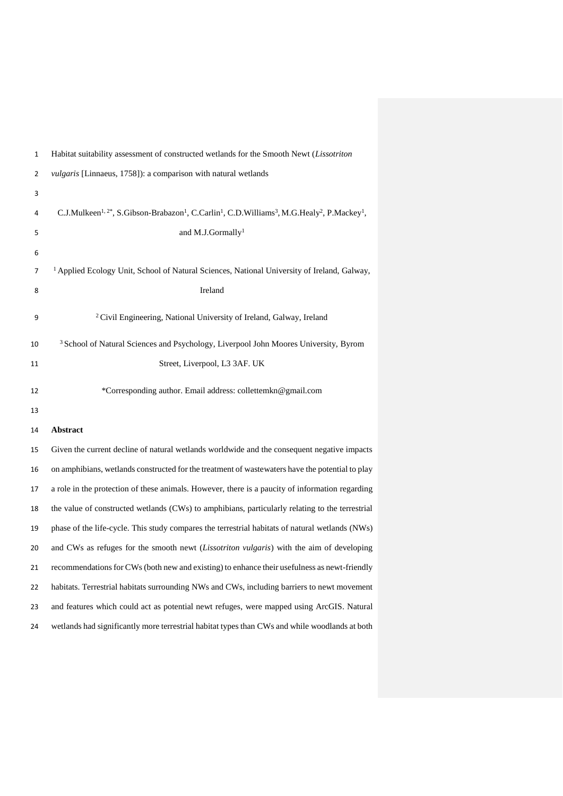| 1  | Habitat suitability assessment of constructed wetlands for the Smooth Newt (Lissotriton                                                                              |
|----|----------------------------------------------------------------------------------------------------------------------------------------------------------------------|
| 2  | vulgaris [Linnaeus, 1758]): a comparison with natural wetlands                                                                                                       |
| 3  |                                                                                                                                                                      |
| 4  | C.J.Mulkeen <sup>1, 2*</sup> , S.Gibson-Brabazon <sup>1</sup> , C.Carlin <sup>1</sup> , C.D.Williams <sup>3</sup> , M.G.Healy <sup>2</sup> , P.Mackey <sup>1</sup> , |
| 5  | and M.J.Gormally <sup>1</sup>                                                                                                                                        |
| 6  |                                                                                                                                                                      |
| 7  | <sup>1</sup> Applied Ecology Unit, School of Natural Sciences, National University of Ireland, Galway,                                                               |
| 8  | Ireland                                                                                                                                                              |
| 9  | <sup>2</sup> Civil Engineering, National University of Ireland, Galway, Ireland                                                                                      |
| 10 | <sup>3</sup> School of Natural Sciences and Psychology, Liverpool John Moores University, Byrom                                                                      |
| 11 | Street, Liverpool, L3 3AF. UK                                                                                                                                        |
| 12 | *Corresponding author. Email address: collettemkn@gmail.com                                                                                                          |
| 13 |                                                                                                                                                                      |
| 14 | Abstract                                                                                                                                                             |
| 15 | Given the current decline of natural wetlands worldwide and the consequent negative impacts                                                                          |
| 16 | on amphibians, wetlands constructed for the treatment of wastewaters have the potential to play                                                                      |
| 17 | a role in the protection of these animals. However, there is a paucity of information regarding                                                                      |
| 18 | the value of constructed wetlands (CWs) to amphibians, particularly relating to the terrestrial                                                                      |
| 19 | phase of the life-cycle. This study compares the terrestrial habitats of natural wetlands (NWs)                                                                      |
| 20 | and CWs as refuges for the smooth newt (Lissotriton vulgaris) with the aim of developing                                                                             |
| 21 | recommendations for CWs (both new and existing) to enhance their usefulness as newt-friendly                                                                         |
| 22 | habitats. Terrestrial habitats surrounding NWs and CWs, including barriers to newt movement                                                                          |
| 23 | and features which could act as potential newt refuges, were mapped using ArcGIS. Natural                                                                            |
| 24 | wetlands had significantly more terrestrial habitat types than CWs and while woodlands at both                                                                       |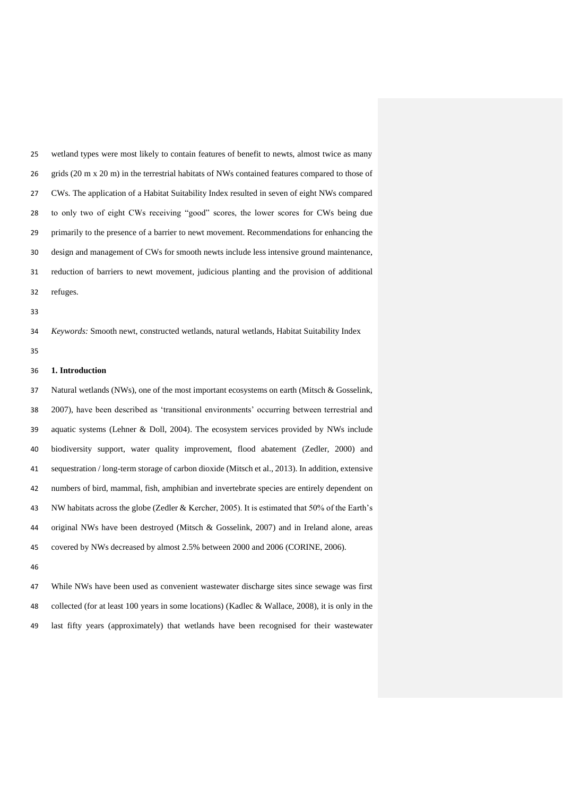wetland types were most likely to contain features of benefit to newts, almost twice as many grids (20 m x 20 m) in the terrestrial habitats of NWs contained features compared to those of CWs. The application of a Habitat Suitability Index resulted in seven of eight NWs compared to only two of eight CWs receiving "good" scores, the lower scores for CWs being due primarily to the presence of a barrier to newt movement. Recommendations for enhancing the design and management of CWs for smooth newts include less intensive ground maintenance, reduction of barriers to newt movement, judicious planting and the provision of additional refuges.

*Keywords:* Smooth newt, constructed wetlands, natural wetlands, Habitat Suitability Index

### **1. Introduction**

 Natural wetlands (NWs), one of the most important ecosystems on earth (Mitsch & Gosselink, 2007), have been described as 'transitional environments' occurring between terrestrial and aquatic systems (Lehner & Doll, 2004). The ecosystem services provided by NWs include biodiversity support, water quality improvement, flood abatement (Zedler, 2000) and sequestration / long-term storage of carbon dioxide (Mitsch et al., 2013). In addition, extensive numbers of bird, mammal, fish, amphibian and invertebrate species are entirely dependent on NW habitats across the globe (Zedler & Kercher, 2005). It is estimated that 50% of the Earth's original NWs have been destroyed (Mitsch & Gosselink, 2007) and in Ireland alone, areas covered by NWs decreased by almost 2.5% between 2000 and 2006 (CORINE, 2006).

 While NWs have been used as convenient wastewater discharge sites since sewage was first collected (for at least 100 years in some locations) (Kadlec & Wallace, 2008), it is only in the last fifty years (approximately) that wetlands have been recognised for their wastewater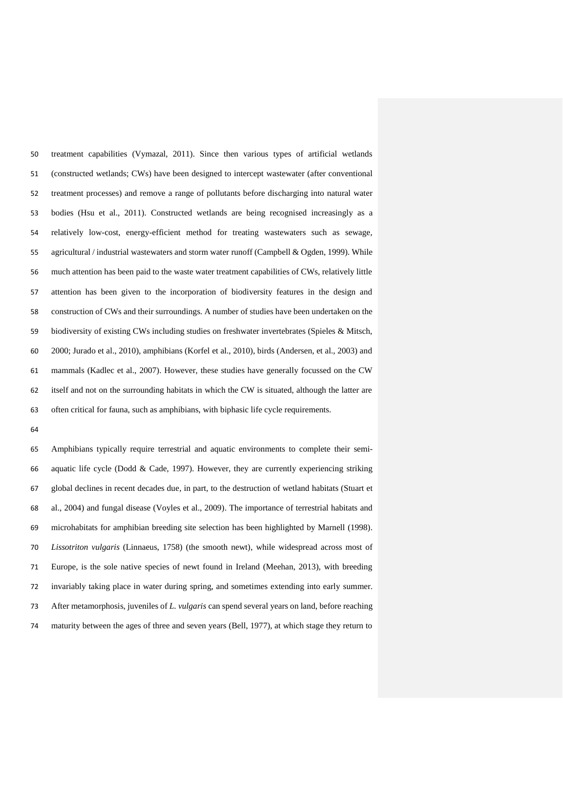treatment capabilities (Vymazal, 2011). Since then various types of artificial wetlands (constructed wetlands; CWs) have been designed to intercept wastewater (after conventional treatment processes) and remove a range of pollutants before discharging into natural water bodies (Hsu et al., 2011). Constructed wetlands are being recognised increasingly as a relatively low-cost, energy-efficient method for treating wastewaters such as sewage, 55 agricultural / industrial wastewaters and storm water runoff (Campbell & Ogden, 1999). While much attention has been paid to the waste water treatment capabilities of CWs, relatively little attention has been given to the incorporation of biodiversity features in the design and construction of CWs and their surroundings. A number of studies have been undertaken on the biodiversity of existing CWs including studies on freshwater invertebrates (Spieles & Mitsch, 2000; Jurado et al., 2010), amphibians (Korfel et al., 2010), birds (Andersen, et al., 2003) and mammals (Kadlec et al., 2007). However, these studies have generally focussed on the CW itself and not on the surrounding habitats in which the CW is situated, although the latter are often critical for fauna, such as amphibians, with biphasic life cycle requirements.

 Amphibians typically require terrestrial and aquatic environments to complete their semi- aquatic life cycle (Dodd & Cade, 1997). However, they are currently experiencing striking global declines in recent decades due, in part, to the destruction of wetland habitats (Stuart et al., 2004) and fungal disease (Voyles et al., 2009). The importance of terrestrial habitats and microhabitats for amphibian breeding site selection has been highlighted by Marnell (1998). *Lissotriton vulgaris* (Linnaeus, 1758) (the smooth newt), while widespread across most of Europe, is the sole native species of newt found in Ireland (Meehan, 2013), with breeding invariably taking place in water during spring, and sometimes extending into early summer. After metamorphosis, juveniles of *L. vulgaris* can spend several years on land, before reaching maturity between the ages of three and seven years (Bell, 1977), at which stage they return to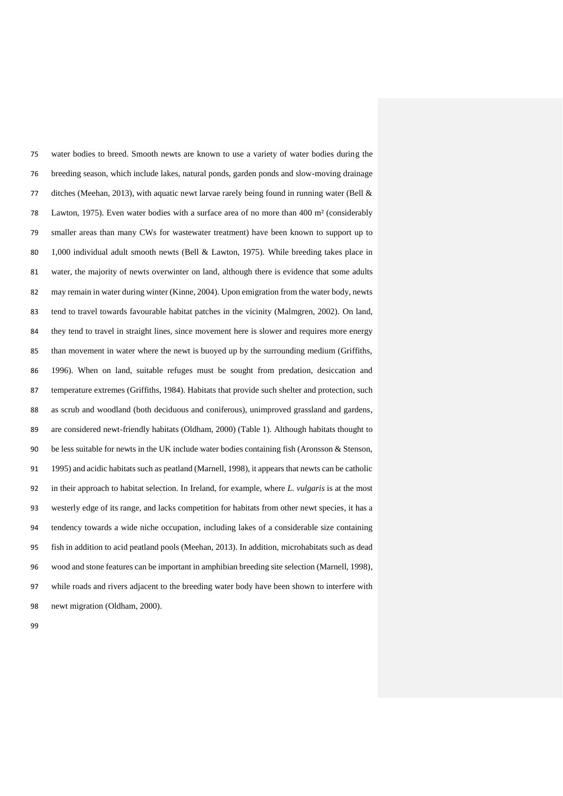water bodies to breed. Smooth newts are known to use a variety of water bodies during the breeding season, which include lakes, natural ponds, garden ponds and slow-moving drainage ditches (Meehan, 2013), with aquatic newt larvae rarely being found in running water (Bell & Lawton, 1975). Even water bodies with a surface area of no more than 400 m² (considerably smaller areas than many CWs for wastewater treatment) have been known to support up to 1,000 individual adult smooth newts (Bell & Lawton, 1975). While breeding takes place in water, the majority of newts overwinter on land, although there is evidence that some adults may remain in water during winter (Kinne, 2004). Upon emigration from the water body, newts tend to travel towards favourable habitat patches in the vicinity (Malmgren, 2002). On land, they tend to travel in straight lines, since movement here is slower and requires more energy than movement in water where the newt is buoyed up by the surrounding medium (Griffiths, 1996). When on land, suitable refuges must be sought from predation, desiccation and temperature extremes (Griffiths, 1984). Habitats that provide such shelter and protection, such as scrub and woodland (both deciduous and coniferous), unimproved grassland and gardens, are considered newt-friendly habitats (Oldham, 2000) (Table 1). Although habitats thought to be less suitable for newts in the UK include water bodies containing fish (Aronsson & Stenson, 1995) and acidic habitats such as peatland (Marnell, 1998), it appears that newts can be catholic in their approach to habitat selection. In Ireland, for example, where *L. vulgaris* is at the most westerly edge of its range, and lacks competition for habitats from other newt species, it has a tendency towards a wide niche occupation, including lakes of a considerable size containing fish in addition to acid peatland pools (Meehan, 2013). In addition, microhabitats such as dead wood and stone features can be important in amphibian breeding site selection (Marnell, 1998), while roads and rivers adjacent to the breeding water body have been shown to interfere with newt migration (Oldham, 2000).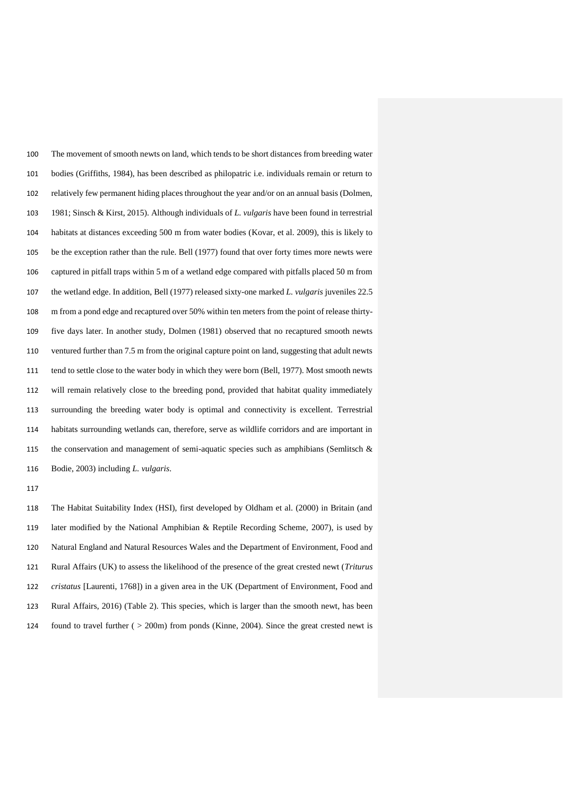The movement of smooth newts on land, which tends to be short distances from breeding water bodies (Griffiths, 1984), has been described as philopatric i.e. individuals remain or return to relatively few permanent hiding places throughout the year and/or on an annual basis (Dolmen, 1981; Sinsch & Kirst, 2015). Although individuals of *L. vulgaris* have been found in terrestrial habitats at distances exceeding 500 m from water bodies (Kovar, et al. 2009), this is likely to be the exception rather than the rule. Bell (1977) found that over forty times more newts were captured in pitfall traps within 5 m of a wetland edge compared with pitfalls placed 50 m from the wetland edge. In addition, Bell (1977) released sixty-one marked *L. vulgaris* juveniles 22.5 m from a pond edge and recaptured over 50% within ten meters from the point of release thirty- five days later. In another study, Dolmen (1981) observed that no recaptured smooth newts ventured further than 7.5 m from the original capture point on land, suggesting that adult newts tend to settle close to the water body in which they were born (Bell, 1977). Most smooth newts will remain relatively close to the breeding pond, provided that habitat quality immediately surrounding the breeding water body is optimal and connectivity is excellent. Terrestrial habitats surrounding wetlands can, therefore, serve as wildlife corridors and are important in the conservation and management of semi-aquatic species such as amphibians (Semlitsch & Bodie, 2003) including *L. vulgaris*.

 The Habitat Suitability Index (HSI), first developed by Oldham et al. (2000) in Britain (and later modified by the National Amphibian & Reptile Recording Scheme, 2007), is used by Natural England and Natural Resources Wales and the Department of Environment, Food and Rural Affairs (UK) to assess the likelihood of the presence of the great crested newt (*Triturus cristatus* [Laurenti, 1768]) in a given area in the UK (Department of Environment, Food and Rural Affairs, 2016) (Table 2). This species, which is larger than the smooth newt, has been found to travel further ( > 200m) from ponds (Kinne, 2004). Since the great crested newt is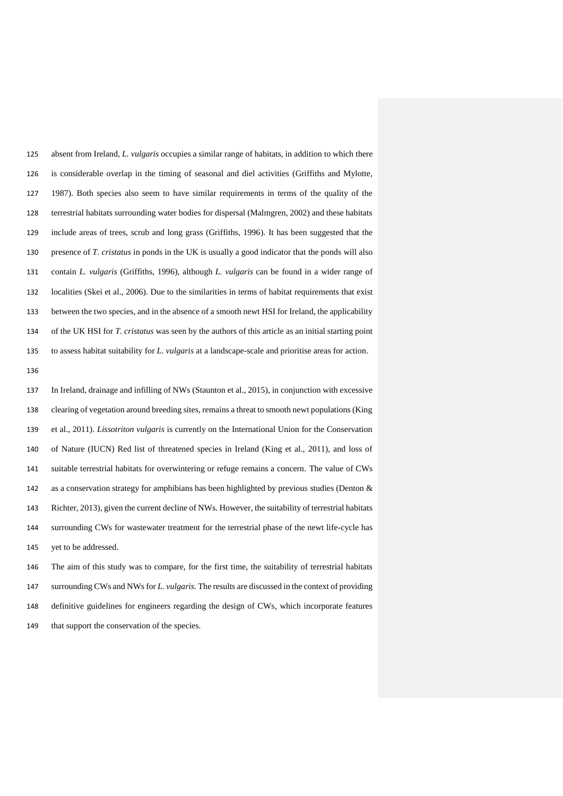absent from Ireland, *L. vulgaris* occupies a similar range of habitats, in addition to which there is considerable overlap in the timing of seasonal and diel activities (Griffiths and Mylotte, 1987). Both species also seem to have similar requirements in terms of the quality of the terrestrial habitats surrounding water bodies for dispersal (Malmgren, 2002) and these habitats include areas of trees, scrub and long grass (Griffiths, 1996). It has been suggested that the presence of *T. cristatus* in ponds in the UK is usually a good indicator that the ponds will also contain *L. vulgaris* (Griffiths, 1996), although *L. vulgaris* can be found in a wider range of localities (Skei et al., 2006). Due to the similarities in terms of habitat requirements that exist between the two species, and in the absence of a smooth newt HSI for Ireland, the applicability of the UK HSI for *T. cristatus* was seen by the authors of this article as an initial starting point to assess habitat suitability for *L. vulgaris* at a landscape-scale and prioritise areas for action.

 In Ireland, drainage and infilling of NWs (Staunton et al., 2015), in conjunction with excessive clearing of vegetation around breeding sites, remains a threat to smooth newt populations (King et al., 2011). *Lissotriton vulgaris* is currently on the International Union for the Conservation of Nature (IUCN) Red list of threatened species in Ireland (King et al., 2011), and loss of suitable terrestrial habitats for overwintering or refuge remains a concern. The value of CWs as a conservation strategy for amphibians has been highlighted by previous studies (Denton & Richter, 2013), given the current decline of NWs. However, the suitability of terrestrial habitats surrounding CWs for wastewater treatment for the terrestrial phase of the newt life-cycle has yet to be addressed.

 The aim of this study was to compare, for the first time, the suitability of terrestrial habitats surrounding CWs and NWs for *L. vulgaris.* The results are discussed in the context of providing definitive guidelines for engineers regarding the design of CWs, which incorporate features that support the conservation of the species*.*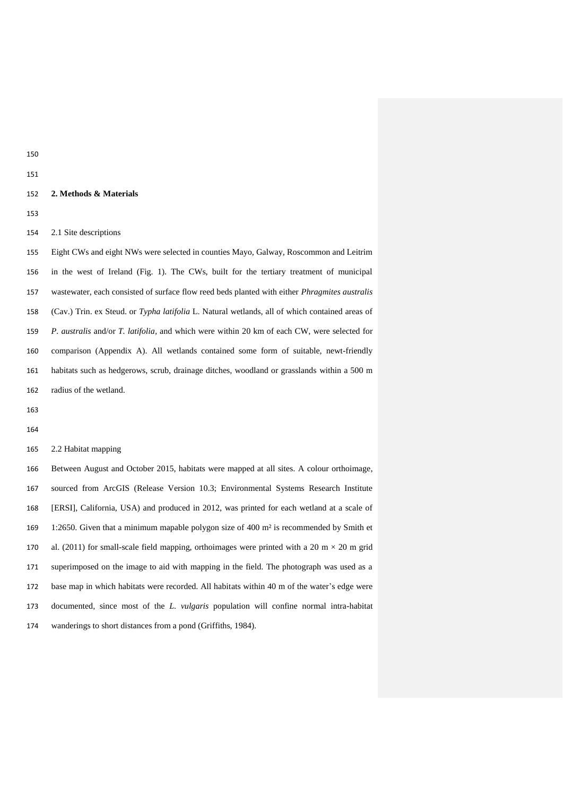#### **2. Methods & Materials**

2.1 Site descriptions

 Eight CWs and eight NWs were selected in counties Mayo, Galway, Roscommon and Leitrim in the west of Ireland (Fig. 1). The CWs, built for the tertiary treatment of municipal wastewater, each consisted of surface flow reed beds planted with either *Phragmites australis* (Cav.) Trin. ex Steud. or *Typha latifolia* L. Natural wetlands, all of which contained areas of *P. australis* and/or *T. latifolia,* and which were within 20 km of each CW, were selected for comparison (Appendix A). All wetlands contained some form of suitable, newt-friendly habitats such as hedgerows, scrub, drainage ditches, woodland or grasslands within a 500 m radius of the wetland.

## 2.2 Habitat mapping

 Between August and October 2015, habitats were mapped at all sites. A colour orthoimage, sourced from ArcGIS (Release Version 10.3; Environmental Systems Research Institute [ERSI], California, USA) and produced in 2012, was printed for each wetland at a scale of 1:2650. Given that a minimum mapable polygon size of 400 m² is recommended by Smith et 170 al. (2011) for small-scale field mapping, orthoimages were printed with a 20 m  $\times$  20 m grid superimposed on the image to aid with mapping in the field. The photograph was used as a base map in which habitats were recorded. All habitats within 40 m of the water's edge were documented, since most of the *L. vulgaris* population will confine normal intra-habitat wanderings to short distances from a pond (Griffiths, 1984).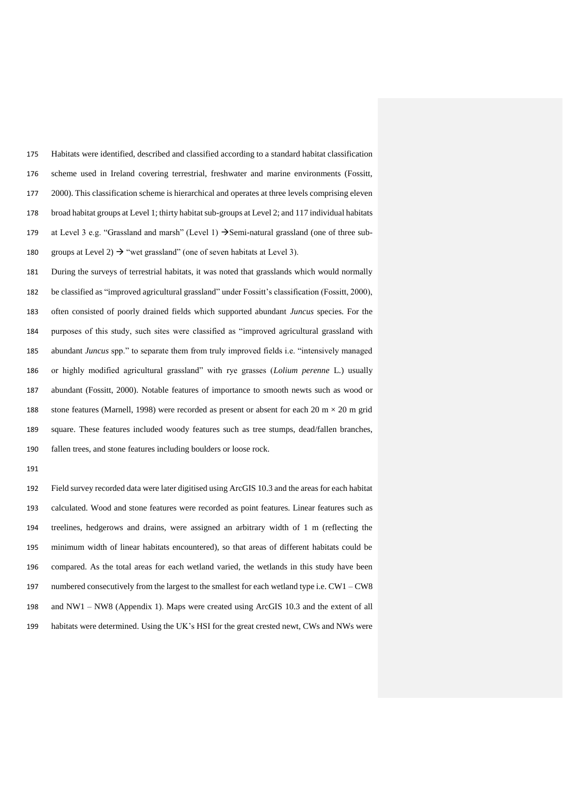Habitats were identified, described and classified according to a standard habitat classification scheme used in Ireland covering terrestrial, freshwater and marine environments (Fossitt, 2000). This classification scheme is hierarchical and operates at three levels comprising eleven broad habitat groups at Level 1; thirty habitat sub-groups at Level 2; and 117 individual habitats 179 at Level 3 e.g. "Grassland and marsh" (Level 1)  $\rightarrow$  Semi-natural grassland (one of three sub-180 groups at Level 2)  $\rightarrow$  "wet grassland" (one of seven habitats at Level 3).

 During the surveys of terrestrial habitats, it was noted that grasslands which would normally be classified as "improved agricultural grassland" under Fossitt's classification (Fossitt, 2000), often consisted of poorly drained fields which supported abundant *Juncus* species. For the purposes of this study, such sites were classified as "improved agricultural grassland with abundant *Juncus* spp." to separate them from truly improved fields i.e. "intensively managed or highly modified agricultural grassland" with rye grasses (*Lolium perenne* L.) usually abundant (Fossitt, 2000). Notable features of importance to smooth newts such as wood or 188 stone features (Marnell, 1998) were recorded as present or absent for each 20 m  $\times$  20 m grid square. These features included woody features such as tree stumps, dead/fallen branches, fallen trees, and stone features including boulders or loose rock.

 Field survey recorded data were later digitised using ArcGIS 10.3 and the areas for each habitat calculated. Wood and stone features were recorded as point features. Linear features such as treelines, hedgerows and drains, were assigned an arbitrary width of 1 m (reflecting the minimum width of linear habitats encountered), so that areas of different habitats could be compared. As the total areas for each wetland varied, the wetlands in this study have been numbered consecutively from the largest to the smallest for each wetland type i.e. CW1 – CW8 and NW1 – NW8 (Appendix 1). Maps were created using ArcGIS 10.3 and the extent of all habitats were determined. Using the UK's HSI for the great crested newt, CWs and NWs were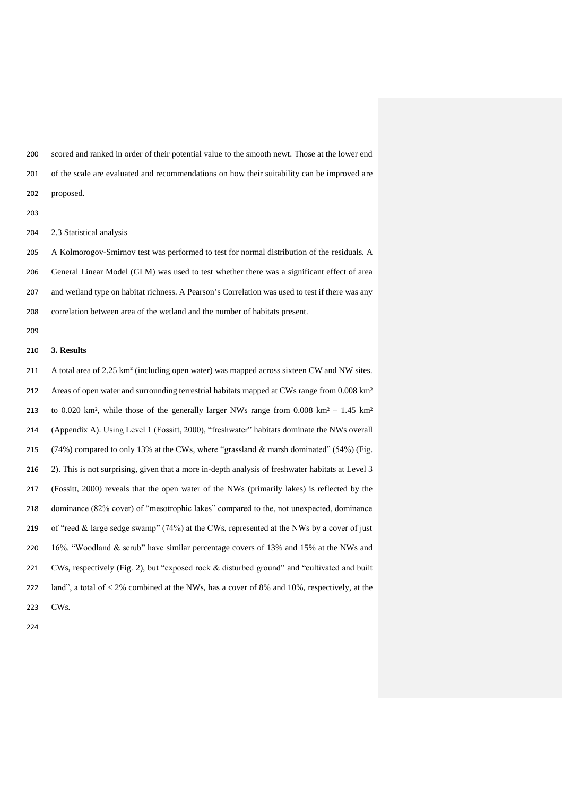scored and ranked in order of their potential value to the smooth newt. Those at the lower end of the scale are evaluated and recommendations on how their suitability can be improved are proposed.

2.3 Statistical analysis

 A Kolmorogov-Smirnov test was performed to test for normal distribution of the residuals. A General Linear Model (GLM) was used to test whether there was a significant effect of area and wetland type on habitat richness. A Pearson's Correlation was used to test if there was any correlation between area of the wetland and the number of habitats present.

## **3. Results**

 A total area of 2.25 km² (including open water) was mapped across sixteen CW and NW sites. 212 Areas of open water and surrounding terrestrial habitats mapped at CWs range from 0.008 km<sup>2</sup> 213 to 0.020 km², while those of the generally larger NWs range from 0.008 km² – 1.45 km² (Appendix A). Using Level 1 (Fossitt, 2000), "freshwater" habitats dominate the NWs overall 215 (74%) compared to only 13% at the CWs, where "grassland  $\&$  marsh dominated" (54%) (Fig. 2). This is not surprising, given that a more in-depth analysis of freshwater habitats at Level 3 (Fossitt, 2000) reveals that the open water of the NWs (primarily lakes) is reflected by the dominance (82% cover) of "mesotrophic lakes" compared to the, not unexpected, dominance 219 of "reed & large sedge swamp" (74%) at the CWs, represented at the NWs by a cover of just 16%. "Woodland & scrub" have similar percentage covers of 13% and 15% at the NWs and CWs, respectively (Fig. 2), but "exposed rock & disturbed ground" and "cultivated and built 222 land", a total of  $< 2\%$  combined at the NWs, has a cover of 8% and 10%, respectively, at the CWs.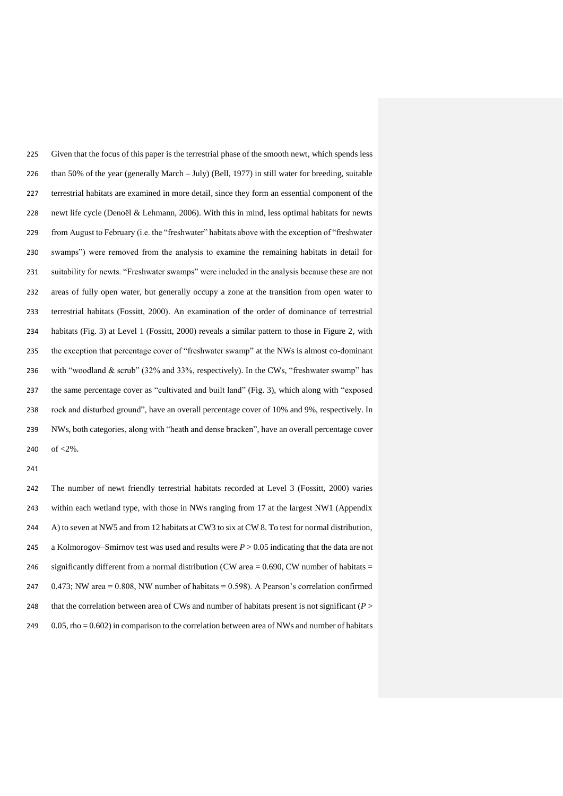Given that the focus of this paper is the terrestrial phase of the smooth newt, which spends less than 50% of the year (generally March – July) (Bell, 1977) in still water for breeding, suitable terrestrial habitats are examined in more detail, since they form an essential component of the newt life cycle (Denoël & Lehmann, 2006). With this in mind, less optimal habitats for newts from August to February (i.e. the "freshwater" habitats above with the exception of "freshwater swamps") were removed from the analysis to examine the remaining habitats in detail for suitability for newts. "Freshwater swamps" were included in the analysis because these are not areas of fully open water, but generally occupy a zone at the transition from open water to terrestrial habitats (Fossitt, 2000). An examination of the order of dominance of terrestrial habitats (Fig. 3) at Level 1 (Fossitt, 2000) reveals a similar pattern to those in Figure 2, with the exception that percentage cover of "freshwater swamp" at the NWs is almost co-dominant with "woodland & scrub" (32% and 33%, respectively). In the CWs, "freshwater swamp" has the same percentage cover as "cultivated and built land" (Fig. 3), which along with "exposed rock and disturbed ground", have an overall percentage cover of 10% and 9%, respectively. In NWs, both categories, along with "heath and dense bracken", have an overall percentage cover 240 of  $< 2\%$ .

 The number of newt friendly terrestrial habitats recorded at Level 3 (Fossitt, 2000) varies within each wetland type, with those in NWs ranging from 17 at the largest NW1 (Appendix A) to seven at NW5 and from 12 habitats at CW3 to six at CW 8. To test for normal distribution, a Kolmorogov–Smirnov test was used and results were *P* > 0.05 indicating that the data are not 246 significantly different from a normal distribution (CW area  $= 0.690$ , CW number of habitats  $=$  $0.473$ ; NW area = 0.808, NW number of habitats = 0.598). A Pearson's correlation confirmed 248 that the correlation between area of CWs and number of habitats present is not significant  $(P >$ 249 0.05, rho = 0.602) in comparison to the correlation between area of NWs and number of habitats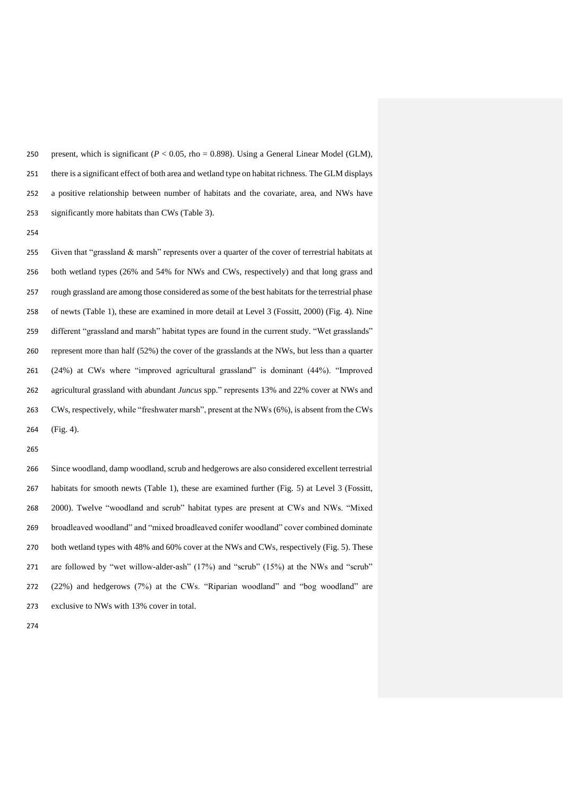250 present, which is significant  $(P < 0.05$ , rho = 0.898). Using a General Linear Model (GLM), there is a significant effect of both area and wetland type on habitat richness. The GLM displays a positive relationship between number of habitats and the covariate, area, and NWs have significantly more habitats than CWs (Table 3).

255 Given that "grassland  $&$  marsh" represents over a quarter of the cover of terrestrial habitats at both wetland types (26% and 54% for NWs and CWs, respectively) and that long grass and rough grassland are among those considered as some of the best habitats for the terrestrial phase of newts (Table 1), these are examined in more detail at Level 3 (Fossitt, 2000) (Fig. 4). Nine different "grassland and marsh" habitat types are found in the current study. "Wet grasslands" represent more than half (52%) the cover of the grasslands at the NWs, but less than a quarter (24%) at CWs where "improved agricultural grassland" is dominant (44%). "Improved agricultural grassland with abundant *Juncus* spp." represents 13% and 22% cover at NWs and CWs, respectively, while "freshwater marsh", present at the NWs (6%), is absent from the CWs (Fig. 4).

 Since woodland, damp woodland, scrub and hedgerows are also considered excellent terrestrial habitats for smooth newts (Table 1), these are examined further (Fig. 5) at Level 3 (Fossitt, 2000). Twelve "woodland and scrub" habitat types are present at CWs and NWs. "Mixed broadleaved woodland" and "mixed broadleaved conifer woodland" cover combined dominate both wetland types with 48% and 60% cover at the NWs and CWs, respectively (Fig. 5). These are followed by "wet willow-alder-ash" (17%) and "scrub" (15%) at the NWs and "scrub" (22%) and hedgerows (7%) at the CWs. "Riparian woodland" and "bog woodland" are exclusive to NWs with 13% cover in total.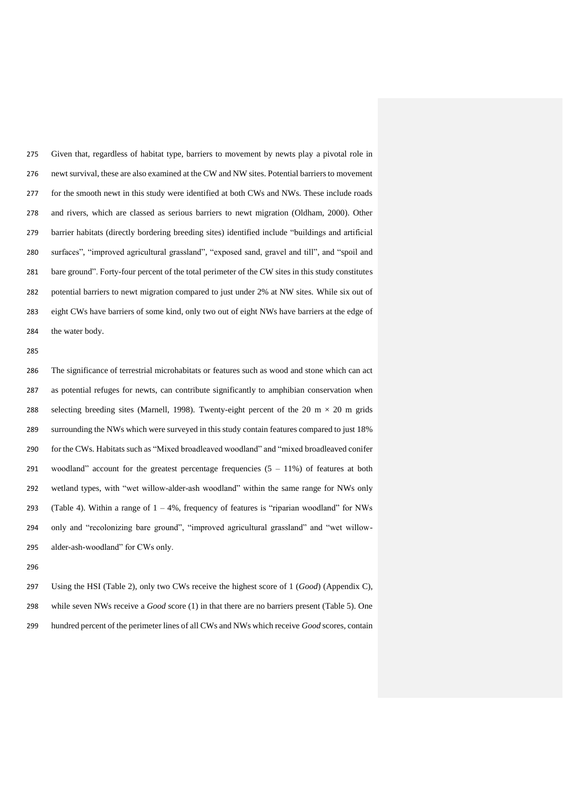Given that, regardless of habitat type, barriers to movement by newts play a pivotal role in newt survival, these are also examined at the CW and NW sites. Potential barriers to movement for the smooth newt in this study were identified at both CWs and NWs. These include roads and rivers, which are classed as serious barriers to newt migration (Oldham, 2000). Other barrier habitats (directly bordering breeding sites) identified include "buildings and artificial surfaces", "improved agricultural grassland", "exposed sand, gravel and till", and "spoil and bare ground". Forty-four percent of the total perimeter of the CW sites in this study constitutes potential barriers to newt migration compared to just under 2% at NW sites. While six out of eight CWs have barriers of some kind, only two out of eight NWs have barriers at the edge of the water body.

 The significance of terrestrial microhabitats or features such as wood and stone which can act as potential refuges for newts, can contribute significantly to amphibian conservation when 288 selecting breeding sites (Marnell, 1998). Twenty-eight percent of the 20 m  $\times$  20 m grids surrounding the NWs which were surveyed in this study contain features compared to just 18% for the CWs. Habitats such as "Mixed broadleaved woodland" and "mixed broadleaved conifer 291 woodland" account for the greatest percentage frequencies  $(5 - 11\%)$  of features at both wetland types, with "wet willow-alder-ash woodland" within the same range for NWs only 293 (Table 4). Within a range of  $1 - 4\%$ , frequency of features is "riparian woodland" for NWs only and "recolonizing bare ground", "improved agricultural grassland" and "wet willow-alder-ash-woodland" for CWs only.

 Using the HSI (Table 2), only two CWs receive the highest score of 1 (*Good*) (Appendix C), while seven NWs receive a *Good* score (1) in that there are no barriers present (Table 5). One hundred percent of the perimeter lines of all CWs and NWs which receive *Good* scores, contain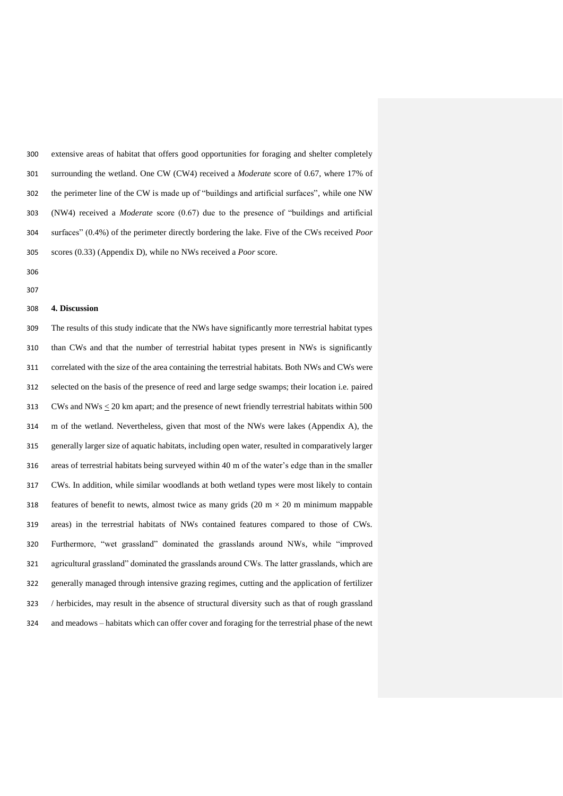extensive areas of habitat that offers good opportunities for foraging and shelter completely surrounding the wetland. One CW (CW4) received a *Moderate* score of 0.67, where 17% of the perimeter line of the CW is made up of "buildings and artificial surfaces", while one NW (NW4) received a *Moderate* score (0.67) due to the presence of "buildings and artificial surfaces" (0.4%) of the perimeter directly bordering the lake. Five of the CWs received *Poor* scores (0.33) (Appendix D), while no NWs received a *Poor* score.

 

#### **4. Discussion**

 The results of this study indicate that the NWs have significantly more terrestrial habitat types than CWs and that the number of terrestrial habitat types present in NWs is significantly correlated with the size of the area containing the terrestrial habitats. Both NWs and CWs were selected on the basis of the presence of reed and large sedge swamps; their location i.e. paired 313 CWs and NWs  $\leq$  20 km apart; and the presence of newt friendly terrestrial habitats within 500 m of the wetland. Nevertheless, given that most of the NWs were lakes (Appendix A), the generally larger size of aquatic habitats, including open water, resulted in comparatively larger areas of terrestrial habitats being surveyed within 40 m of the water's edge than in the smaller CWs. In addition, while similar woodlands at both wetland types were most likely to contain 318 features of benefit to newts, almost twice as many grids  $(20 \text{ m} \times 20 \text{ m} \text{ minimum mappable})$  areas) in the terrestrial habitats of NWs contained features compared to those of CWs. Furthermore, "wet grassland" dominated the grasslands around NWs, while "improved agricultural grassland" dominated the grasslands around CWs. The latter grasslands, which are generally managed through intensive grazing regimes, cutting and the application of fertilizer / herbicides, may result in the absence of structural diversity such as that of rough grassland and meadows – habitats which can offer cover and foraging for the terrestrial phase of the newt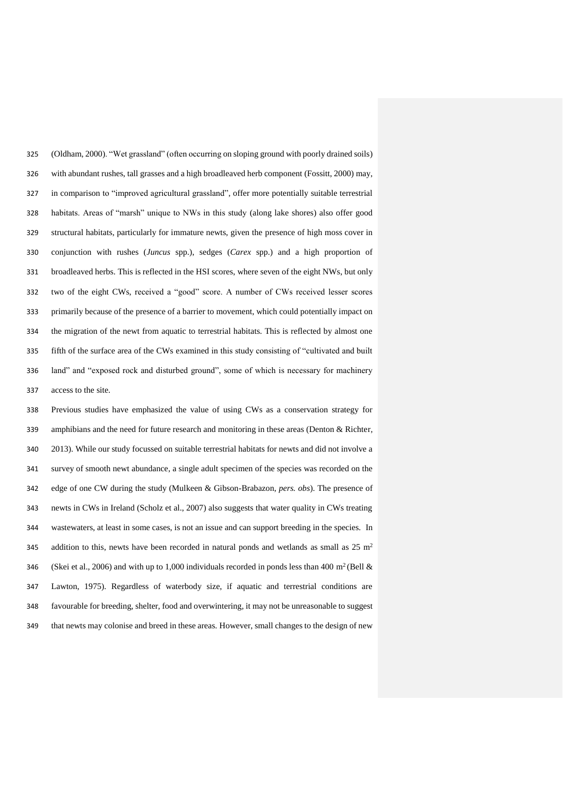(Oldham, 2000). "Wet grassland" (often occurring on sloping ground with poorly drained soils) with abundant rushes, tall grasses and a high broadleaved herb component (Fossitt, 2000) may, in comparison to "improved agricultural grassland", offer more potentially suitable terrestrial habitats. Areas of "marsh" unique to NWs in this study (along lake shores) also offer good structural habitats, particularly for immature newts, given the presence of high moss cover in conjunction with rushes (*Juncus* spp.), sedges (*Carex* spp.) and a high proportion of broadleaved herbs. This is reflected in the HSI scores, where seven of the eight NWs, but only two of the eight CWs, received a "good" score. A number of CWs received lesser scores primarily because of the presence of a barrier to movement, which could potentially impact on the migration of the newt from aquatic to terrestrial habitats. This is reflected by almost one fifth of the surface area of the CWs examined in this study consisting of "cultivated and built land" and "exposed rock and disturbed ground", some of which is necessary for machinery access to the site.

 Previous studies have emphasized the value of using CWs as a conservation strategy for amphibians and the need for future research and monitoring in these areas (Denton & Richter, 2013). While our study focussed on suitable terrestrial habitats for newts and did not involve a survey of smooth newt abundance, a single adult specimen of the species was recorded on the edge of one CW during the study (Mulkeen & Gibson-Brabazon, *pers. obs*). The presence of newts in CWs in Ireland (Scholz et al., 2007) also suggests that water quality in CWs treating wastewaters, at least in some cases, is not an issue and can support breeding in the species. In 345 addition to this, newts have been recorded in natural ponds and wetlands as small as  $25 \text{ m}^2$ 346 (Skei et al., 2006) and with up to 1,000 individuals recorded in ponds less than 400 m<sup>2</sup> (Bell & Lawton, 1975). Regardless of waterbody size, if aquatic and terrestrial conditions are favourable for breeding, shelter, food and overwintering, it may not be unreasonable to suggest that newts may colonise and breed in these areas. However, small changes to the design of new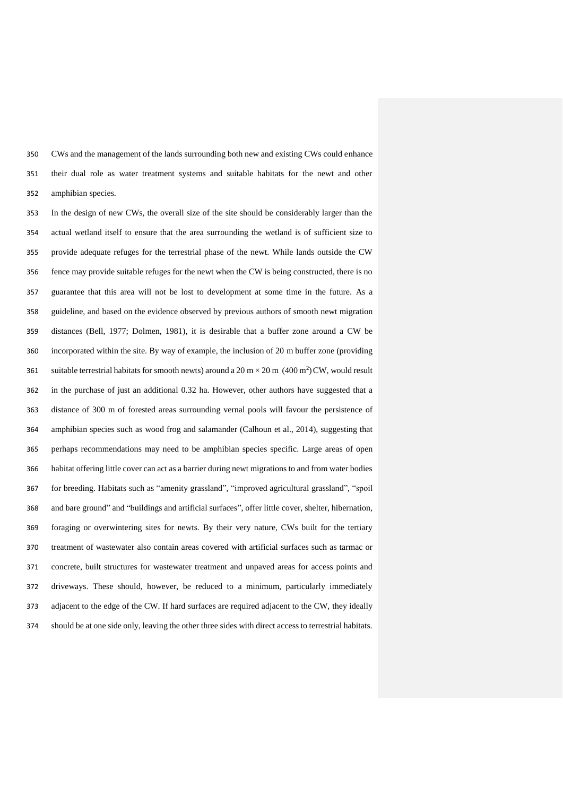CWs and the management of the lands surrounding both new and existing CWs could enhance their dual role as water treatment systems and suitable habitats for the newt and other amphibian species.

 In the design of new CWs, the overall size of the site should be considerably larger than the actual wetland itself to ensure that the area surrounding the wetland is of sufficient size to provide adequate refuges for the terrestrial phase of the newt. While lands outside the CW fence may provide suitable refuges for the newt when the CW is being constructed, there is no guarantee that this area will not be lost to development at some time in the future. As a guideline, and based on the evidence observed by previous authors of smooth newt migration distances (Bell, 1977; Dolmen, 1981), it is desirable that a buffer zone around a CW be incorporated within the site. By way of example, the inclusion of 20 m buffer zone (providing 361 suitable terrestrial habitats for smooth newts) around a 20 m  $\times$  20 m (400 m<sup>2</sup>) CW, would result in the purchase of just an additional 0.32 ha. However, other authors have suggested that a distance of 300 m of forested areas surrounding vernal pools will favour the persistence of amphibian species such as wood frog and salamander (Calhoun et al., 2014), suggesting that perhaps recommendations may need to be amphibian species specific. Large areas of open habitat offering little cover can act as a barrier during newt migrations to and from water bodies for breeding. Habitats such as "amenity grassland", "improved agricultural grassland", "spoil and bare ground" and "buildings and artificial surfaces", offer little cover, shelter, hibernation, foraging or overwintering sites for newts. By their very nature, CWs built for the tertiary treatment of wastewater also contain areas covered with artificial surfaces such as tarmac or concrete, built structures for wastewater treatment and unpaved areas for access points and driveways. These should, however, be reduced to a minimum, particularly immediately adjacent to the edge of the CW. If hard surfaces are required adjacent to the CW, they ideally should be at one side only, leaving the other three sides with direct access to terrestrial habitats.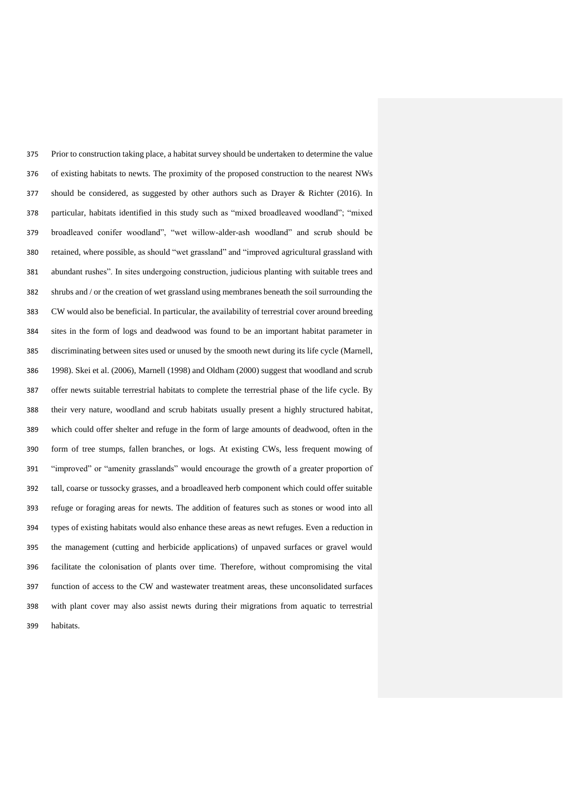Prior to construction taking place, a habitat survey should be undertaken to determine the value of existing habitats to newts. The proximity of the proposed construction to the nearest NWs should be considered, as suggested by other authors such as Drayer & Richter (2016). In particular, habitats identified in this study such as "mixed broadleaved woodland"; "mixed broadleaved conifer woodland", "wet willow-alder-ash woodland" and scrub should be retained, where possible, as should "wet grassland" and "improved agricultural grassland with abundant rushes". In sites undergoing construction, judicious planting with suitable trees and shrubs and / or the creation of wet grassland using membranes beneath the soil surrounding the CW would also be beneficial. In particular, the availability of terrestrial cover around breeding sites in the form of logs and deadwood was found to be an important habitat parameter in discriminating between sites used or unused by the smooth newt during its life cycle (Marnell, 1998). Skei et al. (2006), Marnell (1998) and Oldham (2000) suggest that woodland and scrub offer newts suitable terrestrial habitats to complete the terrestrial phase of the life cycle. By their very nature, woodland and scrub habitats usually present a highly structured habitat, which could offer shelter and refuge in the form of large amounts of deadwood, often in the form of tree stumps, fallen branches, or logs. At existing CWs, less frequent mowing of "improved" or "amenity grasslands" would encourage the growth of a greater proportion of tall, coarse or tussocky grasses, and a broadleaved herb component which could offer suitable refuge or foraging areas for newts. The addition of features such as stones or wood into all types of existing habitats would also enhance these areas as newt refuges. Even a reduction in the management (cutting and herbicide applications) of unpaved surfaces or gravel would facilitate the colonisation of plants over time. Therefore, without compromising the vital function of access to the CW and wastewater treatment areas, these unconsolidated surfaces with plant cover may also assist newts during their migrations from aquatic to terrestrial habitats.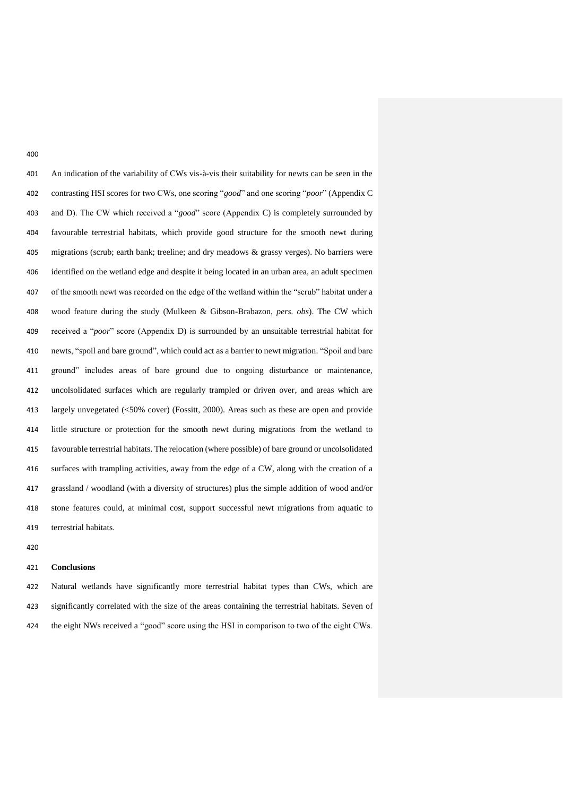An indication of the variability of CWs vis-à-vis their suitability for newts can be seen in the contrasting HSI scores for two CWs, one scoring "*good*" and one scoring "*poor*" (Appendix C and D). The CW which received a "*good*" score (Appendix C) is completely surrounded by favourable terrestrial habitats, which provide good structure for the smooth newt during migrations (scrub; earth bank; treeline; and dry meadows & grassy verges). No barriers were identified on the wetland edge and despite it being located in an urban area, an adult specimen of the smooth newt was recorded on the edge of the wetland within the "scrub" habitat under a wood feature during the study (Mulkeen & Gibson-Brabazon, *pers. obs*). The CW which received a "*poor*" score (Appendix D) is surrounded by an unsuitable terrestrial habitat for newts, "spoil and bare ground", which could act as a barrier to newt migration. "Spoil and bare ground" includes areas of bare ground due to ongoing disturbance or maintenance, uncolsolidated surfaces which are regularly trampled or driven over, and areas which are largely unvegetated (<50% cover) (Fossitt, 2000). Areas such as these are open and provide little structure or protection for the smooth newt during migrations from the wetland to favourable terrestrial habitats. The relocation (where possible) of bare ground or uncolsolidated surfaces with trampling activities, away from the edge of a CW, along with the creation of a grassland / woodland (with a diversity of structures) plus the simple addition of wood and/or stone features could, at minimal cost, support successful newt migrations from aquatic to terrestrial habitats.

#### **Conclusions**

 Natural wetlands have significantly more terrestrial habitat types than CWs, which are significantly correlated with the size of the areas containing the terrestrial habitats. Seven of the eight NWs received a "good" score using the HSI in comparison to two of the eight CWs.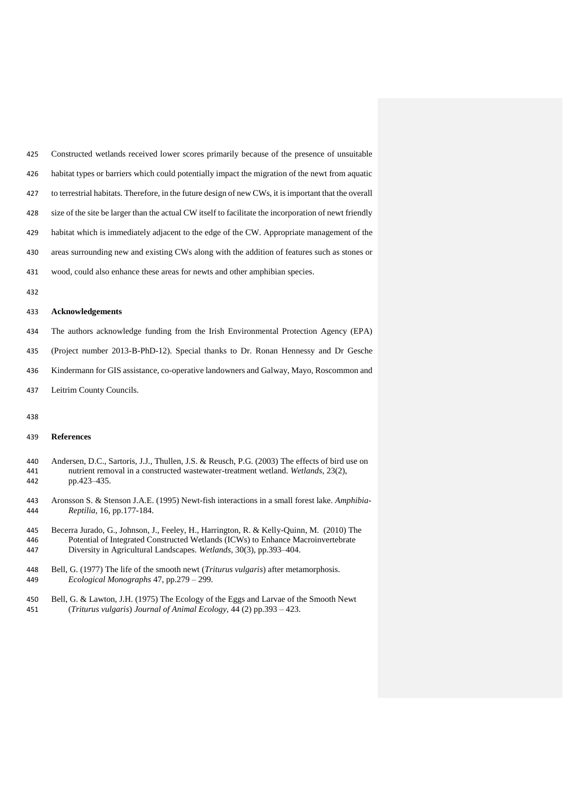| 425 | Constructed wetlands received lower scores primarily because of the presence of unsuitable            |
|-----|-------------------------------------------------------------------------------------------------------|
| 426 | habitat types or barriers which could potentially impact the migration of the newt from aquatic       |
| 427 | to terrestrial habitats. Therefore, in the future design of new CWs, it is important that the overall |
| 428 | size of the site be larger than the actual CW itself to facilitate the incorporation of newt friendly |
| 429 | habitat which is immediately adjacent to the edge of the CW. Appropriate management of the            |
| 430 | areas surrounding new and existing CWs along with the addition of features such as stones or          |
| 431 | wood, could also enhance these areas for newts and other amphibian species.                           |
| 432 |                                                                                                       |

#### **Acknowledgements**

The authors acknowledge funding from the Irish Environmental Protection Agency (EPA)

(Project number 2013-B-PhD-12). Special thanks to Dr. Ronan Hennessy and Dr Gesche

- Kindermann for GIS assistance, co-operative landowners and Galway, Mayo, Roscommon and
- Leitrim County Councils.
- 

#### **References**

| 440 | Andersen, D.C., Sartoris, J.J., Thullen, J.S. & Reusch, P.G. (2003) The effects of bird use on |
|-----|------------------------------------------------------------------------------------------------|
| 441 | nutrient removal in a constructed wastewater-treatment wetland. Wetlands, 23(2).               |
| 442 | pp.423–435.                                                                                    |

- Aronsson S. & Stenson J.A.E. (1995) Newt-fish interactions in a small forest lake. *Amphibia-Reptilia*, 16, pp.177-184.
- Becerra Jurado, G., Johnson, J., Feeley, H., Harrington, R. & Kelly-Quinn, M. (2010) The Potential of Integrated Constructed Wetlands (ICWs) to Enhance Macroinvertebrate Diversity in Agricultural Landscapes. *Wetlands*, 30(3), pp.393–404.
- Bell, G. (1977) The life of the smooth newt (*Triturus vulgaris*) after metamorphosis. *Ecological Monographs* 47, pp.279 – 299.
- Bell, G. & Lawton, J.H. (1975) The Ecology of the Eggs and Larvae of the Smooth Newt (*Triturus vulgaris*) *Journal of Animal Ecology,* 44 (2) pp.393 – 423.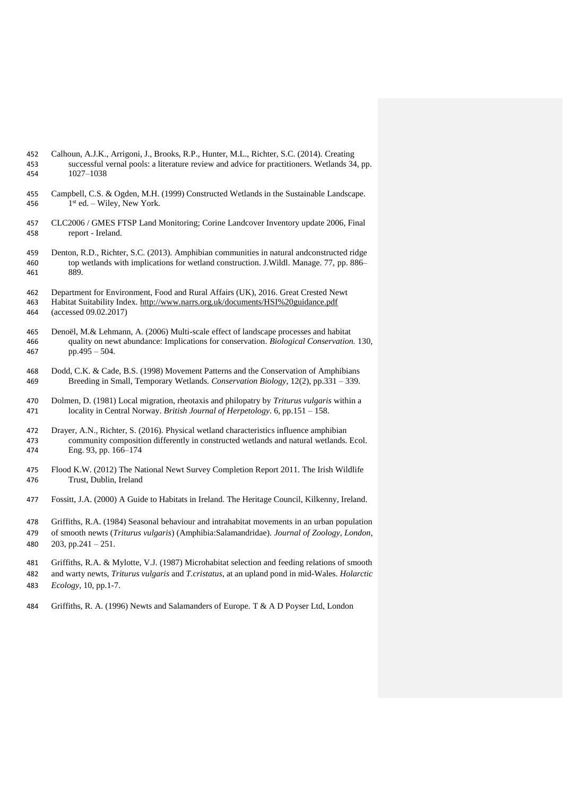| 452 | Calhoun, A.J.K., Arrigoni, J., Brooks, R.P., Hunter, M.L., Richter, S.C. (2014). Creating     |
|-----|-----------------------------------------------------------------------------------------------|
| 453 | successful vernal pools: a literature review and advice for practitioners. Wetlands 34, pp.   |
| 454 | 1027-1038                                                                                     |
| 455 | Campbell, C.S. & Ogden, M.H. (1999) Constructed Wetlands in the Sustainable Landscape.        |
| 456 | $1st$ ed. – Wiley, New York.                                                                  |
| 457 | CLC2006 / GMES FTSP Land Monitoring; Corine Landcover Inventory update 2006, Final            |
| 458 | report - Ireland.                                                                             |
| 459 | Denton, R.D., Richter, S.C. (2013). Amphibian communities in natural and constructed ridge    |
| 460 | top wetlands with implications for wetland construction. J. Wildl. Manage. 77, pp. 886–       |
| 461 | 889.                                                                                          |
| 462 | Department for Environment, Food and Rural Affairs (UK), 2016. Great Crested Newt             |
| 463 | Habitat Suitability Index. http://www.narrs.org.uk/documents/HSI%20guidance.pdf               |
| 464 | (accessed 09.02.2017)                                                                         |
| 465 | Denoël, M.& Lehmann, A. (2006) Multi-scale effect of landscape processes and habitat          |
| 466 | quality on newt abundance: Implications for conservation. Biological Conservation. 130,       |
| 467 | $pp.495 - 504.$                                                                               |
| 468 | Dodd, C.K. & Cade, B.S. (1998) Movement Patterns and the Conservation of Amphibians           |
| 469 | Breeding in Small, Temporary Wetlands. Conservation Biology, 12(2), pp.331 - 339.             |
| 470 | Dolmen, D. (1981) Local migration, rheotaxis and philopatry by Triturus vulgaris within a     |
| 471 | locality in Central Norway. British Journal of Herpetology. 6, pp.151 - 158.                  |
| 472 | Drayer, A.N., Richter, S. (2016). Physical wetland characteristics influence amphibian        |
| 473 | community composition differently in constructed wetlands and natural wetlands. Ecol.         |
| 474 | Eng. 93, pp. 166-174                                                                          |
| 475 | Flood K.W. (2012) The National Newt Survey Completion Report 2011. The Irish Wildlife         |
| 476 | Trust, Dublin, Ireland                                                                        |
| 477 | Fossitt, J.A. (2000) A Guide to Habitats in Ireland. The Heritage Council, Kilkenny, Ireland. |
| 478 | Griffiths, R.A. (1984) Seasonal behaviour and intrahabitat movements in an urban population   |
| 479 | of smooth newts (Triturus vulgaris) (Amphibia:Salamandridae). Journal of Zoology, London,     |
| 480 | 203, pp.241 - $251$ .                                                                         |
| 481 | Griffiths, R.A. & Mylotte, V.J. (1987) Microhabitat selection and feeding relations of smooth |
| 482 | and warty newts, Triturus vulgaris and T.cristatus, at an upland pond in mid-Wales. Holarctic |
| 483 | Ecology, 10, pp.1-7.                                                                          |

Griffiths, R. A. (1996) Newts and Salamanders of Europe. T & A D Poyser Ltd, London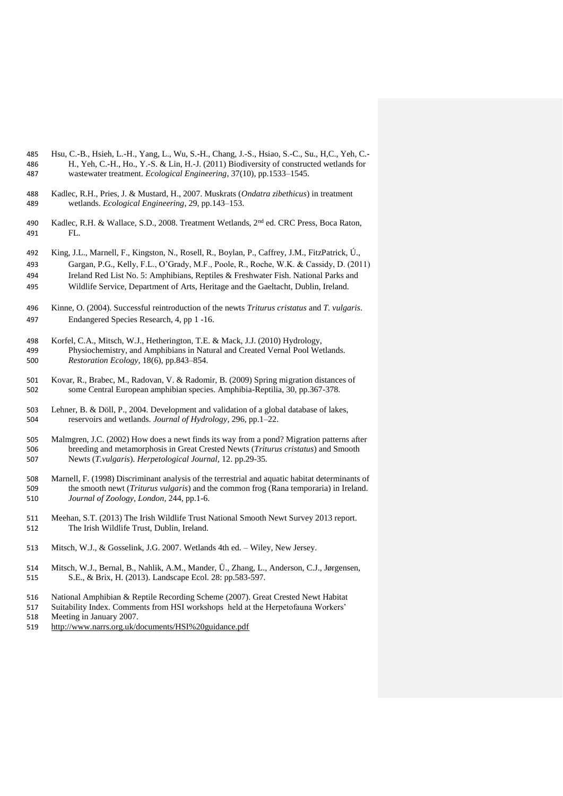- Hsu, C.-B., Hsieh, L.-H., Yang, L., Wu, S.-H., Chang, J.-S., Hsiao, S.-C., Su., H,C., Yeh, C.- H., Yeh, C.-H., Ho., Y.-S. & Lin, H.-J. (2011) Biodiversity of constructed wetlands for wastewater treatment. *Ecological Engineering*, 37(10), pp.1533–1545.
- Kadlec, R.H., Pries, J. & Mustard, H., 2007. Muskrats (*Ondatra zibethicus*) in treatment wetlands. *Ecological Engineering*, 29, pp.143–153.
- 490 Kadlec, R.H. & Wallace, S.D., 2008. Treatment Wetlands, 2<sup>nd</sup> ed. CRC Press, Boca Raton, FL.
- King, J.L., Marnell, F., Kingston, N., Rosell, R., Boylan, P., Caffrey, J.M., FitzPatrick, Ú.,
- Gargan, P.G., Kelly, F.L., O'Grady, M.F., Poole, R., Roche, W.K. & Cassidy, D. (2011)
- Ireland Red List No. 5: Amphibians, Reptiles & Freshwater Fish. National Parks and Wildlife Service, Department of Arts, Heritage and the Gaeltacht, Dublin, Ireland.
- 
- Kinne, O. (2004). Successful reintroduction of the newts *Triturus cristatus* and *T. vulgaris*. Endangered Species Research, 4, pp 1 -16.
- Korfel, C.A., Mitsch, W.J., Hetherington, T.E. & Mack, J.J. (2010) Hydrology, Physiochemistry, and Amphibians in Natural and Created Vernal Pool Wetlands. *Restoration Ecology*, 18(6), pp.843–854.
- Kovar, R., Brabec, M., Radovan, V. & Radomir, B. (2009) Spring migration distances of some Central European amphibian species. Amphibia-Reptilia, 30, pp.367-378.
- Lehner, B. & Döll, P., 2004. Development and validation of a global database of lakes, reservoirs and wetlands. *Journal of Hydrology*, 296, pp.1–22.
- Malmgren, J.C. (2002) How does a newt finds its way from a pond? Migration patterns after breeding and metamorphosis in Great Crested Newts (*Triturus cristatus*) and Smooth Newts (*T.vulgaris*). *Herpetological Journal,* 12. pp.29-35*.*
- Marnell, F. (1998) Discriminant analysis of the terrestrial and aquatic habitat determinants of the smooth newt (*Triturus vulgaris*) and the common frog (Rana temporaria) in Ireland. *Journal of Zoology, London,* 244, pp.1-6.
- Meehan, S.T. (2013) The Irish Wildlife Trust National Smooth Newt Survey 2013 report. The Irish Wildlife Trust, Dublin, Ireland.
- Mitsch, W.J., & Gosselink, J.G. 2007. Wetlands 4th ed. Wiley, New Jersey.
- Mitsch, W.J., Bernal, B., Nahlik, A.M., Mander, Ü., Zhang, L., Anderson, C.J., Jørgensen, S.E., & Brix, H. (2013). Landscape Ecol. 28: pp.583-597.
- National Amphibian & Reptile Recording Scheme (2007). Great Crested Newt Habitat
- Suitability Index. Comments from HSI workshops held at the Herpetofauna Workers'
- 518 Meeting in January 2007.<br>519 http://www.narrs.org.uk/d <http://www.narrs.org.uk/documents/HSI%20guidance.pdf>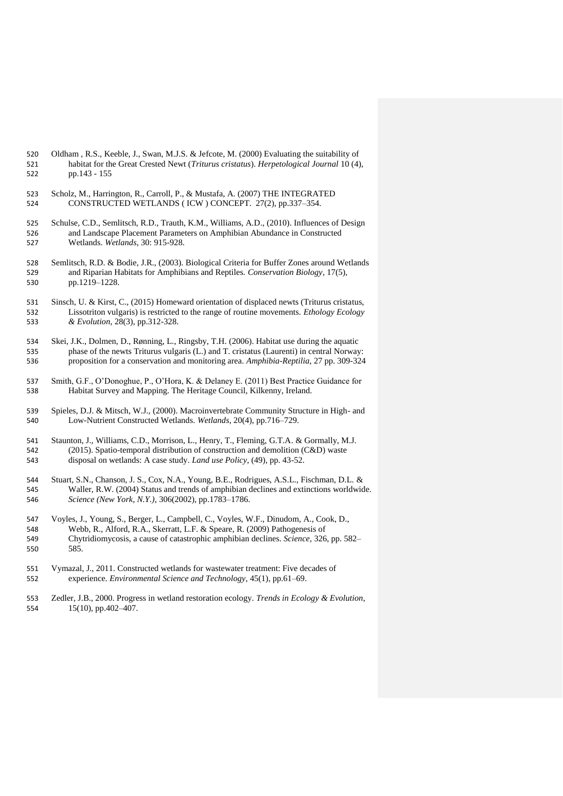| 520 | Oldham, R.S., Keeble, J., Swan, M.J.S. & Jefcote, M. (2000) Evaluating the suitability of              |
|-----|--------------------------------------------------------------------------------------------------------|
| 521 | habitat for the Great Crested Newt ( <i>Triturus cristatus</i> ). <i>Herpetological Journal</i> 10(4), |
| 522 | pp.143 - 155                                                                                           |

- Scholz, M., Harrington, R., Carroll, P., & Mustafa, A. (2007) THE INTEGRATED CONSTRUCTED WETLANDS ( ICW ) CONCEPT. 27(2), pp.337–354.
- Schulse, C.D., Semlitsch, R.D., Trauth, K.M., Williams, A.D., (2010). Influences of Design and Landscape Placement Parameters on Amphibian Abundance in Constructed Wetlands. *Wetlands*, 30: 915-928.
- Semlitsch, R.D. & Bodie, J.R., (2003). Biological Criteria for Buffer Zones around Wetlands and Riparian Habitats for Amphibians and Reptiles. *Conservation Biology*, 17(5), pp.1219–1228.
- Sinsch, U. & Kirst, C., (2015) Homeward orientation of displaced newts (Triturus cristatus, Lissotriton vulgaris) is restricted to the range of routine movements. *Ethology Ecology & Evolution*, 28(3), pp.312-328.
- Skei, J.K., Dolmen, D., Rønning, L., Ringsby, T.H. (2006). Habitat use during the aquatic phase of the newts Triturus vulgaris (L.) and T. cristatus (Laurenti) in central Norway: proposition for a conservation and monitoring area. *Amphibia-Reptilia*, 27 pp. 309-324
- Smith, G.F., O'Donoghue, P., O'Hora, K. & Delaney E. (2011) Best Practice Guidance for Habitat Survey and Mapping. The Heritage Council, Kilkenny, Ireland.
- Spieles, D.J. & Mitsch, W.J., (2000). Macroinvertebrate Community Structure in High- and Low-Nutrient Constructed Wetlands. *Wetlands*, 20(4), pp.716–729.
- Staunton, J., Williams, C.D., Morrison, L., Henry, T., Fleming, G.T.A. & Gormally, M.J. (2015). Spatio-temporal distribution of construction and demolition (C&D) waste disposal on wetlands: A case study. *Land use Policy,* (49), pp. 43-52.
- Stuart, S.N., Chanson, J. S., Cox, N.A., Young, B.E., Rodrigues, A.S.L., Fischman, D.L. & Waller, R.W. (2004) Status and trends of amphibian declines and extinctions worldwide. *Science (New York, N.Y.)*, 306(2002), pp.1783–1786.
- Voyles, J., Young, S., Berger, L., Campbell, C., Voyles, W.F., Dinudom, A., Cook, D.,
- Webb, R., Alford, R.A., Skerratt, L.F. & Speare, R. (2009) Pathogenesis of
- Chytridiomycosis, a cause of catastrophic amphibian declines. *Science*, 326, pp. 582– 585.
- Vymazal, J., 2011. Constructed wetlands for wastewater treatment: Five decades of experience. *Environmental Science and Technology*, 45(1), pp.61–69.
- Zedler, J.B., 2000. Progress in wetland restoration ecology. *Trends in Ecology & Evolution*, 15(10), pp.402–407.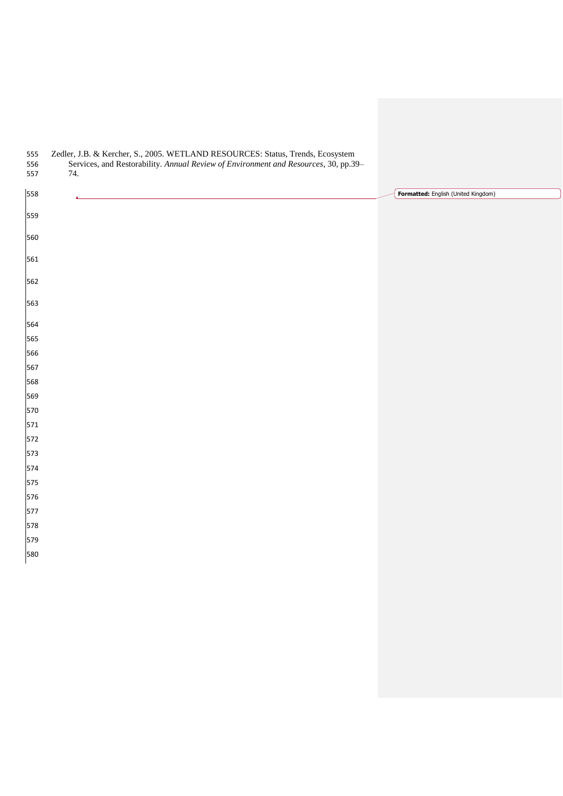| 555<br>556<br>557 | Zedler, J.B. & Kercher, S., 2005. WETLAND RESOURCES: Status, Trends, Ecosystem<br>Services, and Restorability. Annual Review of Environment and Resources, 30, pp.39-<br>74. |                                     |
|-------------------|------------------------------------------------------------------------------------------------------------------------------------------------------------------------------|-------------------------------------|
| 558               | $\blacktriangle$                                                                                                                                                             | Formatted: English (United Kingdom) |
| 559               |                                                                                                                                                                              |                                     |
| 560               |                                                                                                                                                                              |                                     |
| 561               |                                                                                                                                                                              |                                     |
| 562               |                                                                                                                                                                              |                                     |
| 563               |                                                                                                                                                                              |                                     |
| 564               |                                                                                                                                                                              |                                     |
| 565               |                                                                                                                                                                              |                                     |
| 566               |                                                                                                                                                                              |                                     |
| 567               |                                                                                                                                                                              |                                     |
| 568               |                                                                                                                                                                              |                                     |
| 569               |                                                                                                                                                                              |                                     |
| 570               |                                                                                                                                                                              |                                     |
| 571               |                                                                                                                                                                              |                                     |
| 572               |                                                                                                                                                                              |                                     |
| 573               |                                                                                                                                                                              |                                     |
| 574               |                                                                                                                                                                              |                                     |
| 575<br>576        |                                                                                                                                                                              |                                     |
| 577               |                                                                                                                                                                              |                                     |
| 578               |                                                                                                                                                                              |                                     |
| 579               |                                                                                                                                                                              |                                     |
| 580               |                                                                                                                                                                              |                                     |
|                   |                                                                                                                                                                              |                                     |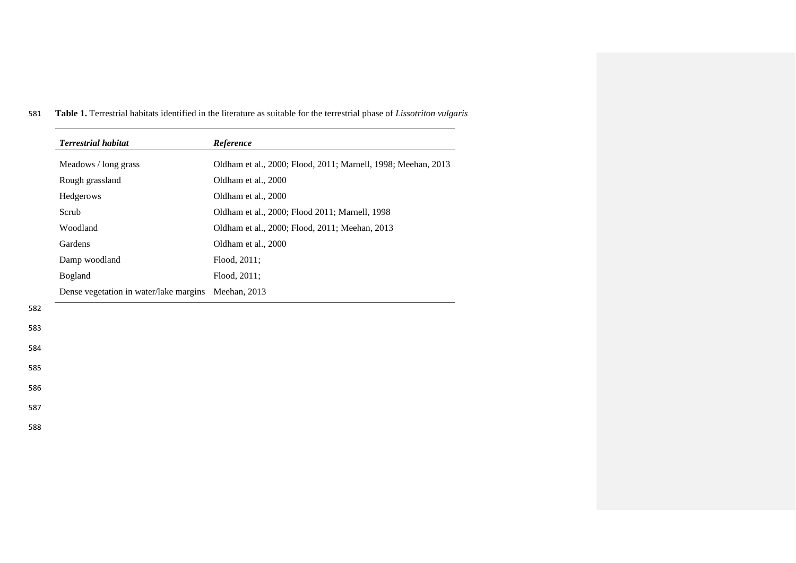| <b>Terrestrial habitat</b>             | Reference                                                     |
|----------------------------------------|---------------------------------------------------------------|
| Meadows / long grass                   | Oldham et al., 2000; Flood, 2011; Marnell, 1998; Meehan, 2013 |
| Rough grassland                        | Oldham et al., 2000                                           |
| Hedgerows                              | Oldham et al., 2000                                           |
| Scrub                                  | Oldham et al., 2000; Flood 2011; Marnell, 1998                |
| Woodland                               | Oldham et al., 2000; Flood, 2011; Meehan, 2013                |
| Gardens                                | Oldham et al., 2000                                           |
| Damp woodland                          | Flood, 2011;                                                  |
| Bogland                                | Flood, 2011;                                                  |
| Dense vegetation in water/lake margins | Meehan, 2013                                                  |

581 **Table 1.** Terrestrial habitats identified in the literature as suitable for the terrestrial phase of *Lissotriton vulgaris*

- 582
- 583

584 585

586

587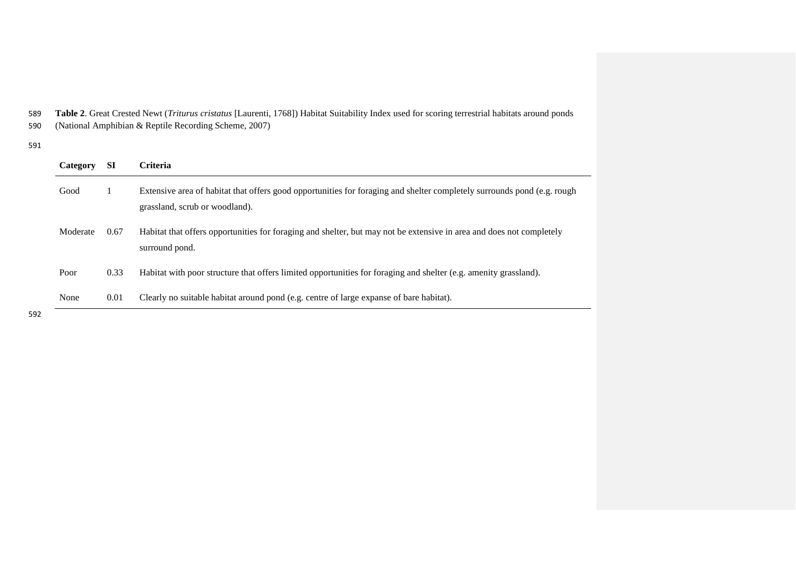589 **Table 2**. Great Crested Newt (*Triturus cristatus* [Laurenti, 1768]) Habitat Suitability Index used for scoring terrestrial habitats around ponds 590 (National Amphibian & Reptile Recording Scheme, 2007)

## 591

| <b>SI</b> | <b>Criteria</b>                                                                                                                                           |
|-----------|-----------------------------------------------------------------------------------------------------------------------------------------------------------|
|           | Extensive area of habitat that offers good opportunities for foraging and shelter completely surrounds pond (e.g. rough<br>grassland, scrub or woodland). |
| 0.67      | Habitat that offers opportunities for foraging and shelter, but may not be extensive in area and does not completely<br>surround pond.                    |
| 0.33      | Habitat with poor structure that offers limited opportunities for foraging and shelter (e.g. amenity grassland).                                          |
| 0.01      | Clearly no suitable habitat around pond (e.g. centre of large expanse of bare habitat).                                                                   |
|           |                                                                                                                                                           |

 $\overline{\phantom{a}}$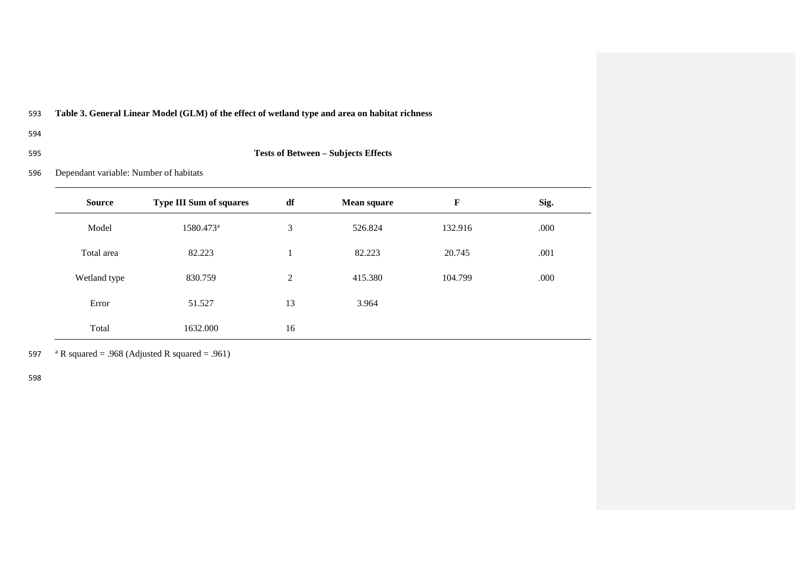# 593 **Table 3. General Linear Model (GLM) of the effect of wetland type and area on habitat richness**

- 594
- 

# 595 **Tests of Between – Subjects Effects**

596 Dependant variable: Number of habitats

| <b>Source</b> | <b>Type III Sum of squares</b> | df | <b>Mean square</b> | F       | Sig. |
|---------------|--------------------------------|----|--------------------|---------|------|
| Model         | 1580.473 <sup>a</sup>          | 3  | 526.824            | 132.916 | .000 |
| Total area    | 82.223                         | 1  | 82.223             | 20.745  | .001 |
| Wetland type  | 830.759                        | 2  | 415.380            | 104.799 | .000 |
| Error         | 51.527                         | 13 | 3.964              |         |      |
| Total         | 1632.000                       | 16 |                    |         |      |

597 a R squared = .968 (Adjusted R squared = .961)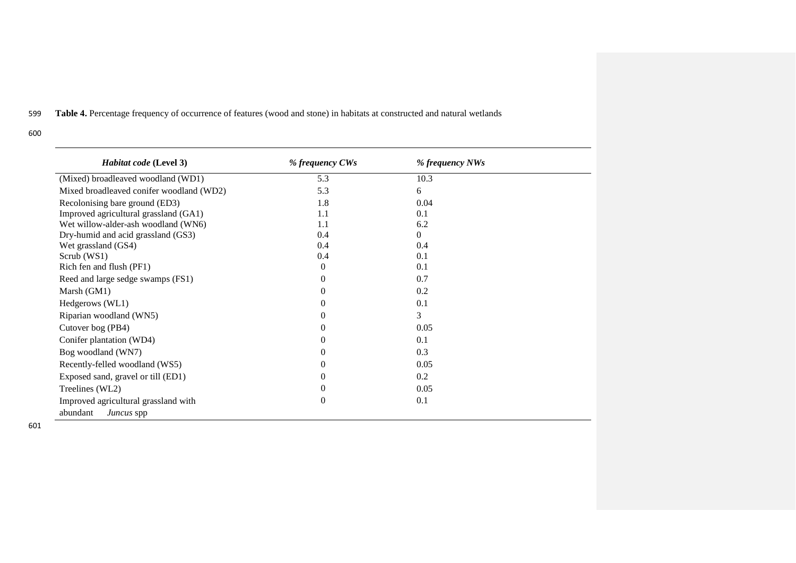# 599 **Table 4.** Percentage frequency of occurrence of features (wood and stone) in habitats at constructed and natural wetlands

600

| Habitat code (Level 3)                   | % frequency CWs | % frequency NWs |  |
|------------------------------------------|-----------------|-----------------|--|
| (Mixed) broadleaved woodland (WD1)       | 5.3             | 10.3            |  |
| Mixed broadleaved conifer woodland (WD2) | 5.3             | 6               |  |
| Recolonising bare ground (ED3)           | 1.8             | 0.04            |  |
| Improved agricultural grassland (GA1)    | 1.1             | 0.1             |  |
| Wet willow-alder-ash woodland (WN6)      | 1.1             | 6.2             |  |
| Dry-humid and acid grassland (GS3)       | 0.4             | 0               |  |
| Wet grassland (GS4)                      | 0.4             | 0.4             |  |
| Scrub (WS1)                              | 0.4             | 0.1             |  |
| Rich fen and flush (PF1)                 | $\Omega$        | 0.1             |  |
| Reed and large sedge swamps (FS1)        | $\theta$        | 0.7             |  |
| Marsh (GM1)                              | $\theta$        | 0.2             |  |
| Hedgerows (WL1)                          | $\Omega$        | 0.1             |  |
| Riparian woodland (WN5)                  | $\Omega$        | 3               |  |
| Cutover bog (PB4)                        | $\Omega$        | 0.05            |  |
| Conifer plantation (WD4)                 | $\Omega$        | 0.1             |  |
| Bog woodland (WN7)                       | $\Omega$        | 0.3             |  |
| Recently-felled woodland (WS5)           | 0               | 0.05            |  |
| Exposed sand, gravel or till (ED1)       | $\Omega$        | 0.2             |  |
| Treelines (WL2)                          | $\theta$        | 0.05            |  |
| Improved agricultural grassland with     | $\theta$        | 0.1             |  |
| abundant<br>Juncus spp                   |                 |                 |  |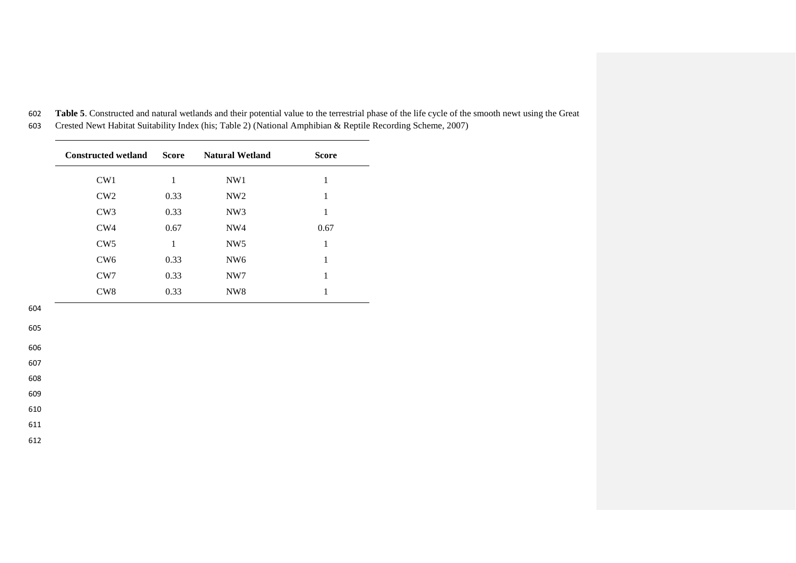| CW1             |      |                 |      |
|-----------------|------|-----------------|------|
|                 | 1    | NW1             | 1    |
| CW2             | 0.33 | NW <sub>2</sub> | 1    |
| CW <sub>3</sub> | 0.33 | NW <sub>3</sub> | 1    |
| CW4             | 0.67 | NW4             | 0.67 |
| CW <sub>5</sub> | 1    | NW <sub>5</sub> | 1    |
| CW <sub>6</sub> | 0.33 | NW <sub>6</sub> | 1    |
| CW7             | 0.33 | NW7             | 1    |
| CW <sub>8</sub> | 0.33 | NW <sub>8</sub> | 1    |

602 **Table 5**. Constructed and natural wetlands and their potential value to the terrestrial phase of the life cycle of the smooth newt using the Great 603 Crested Newt Habitat Suitability Index (his; Table 2) (National Amphibian & Reptile Recording Scheme, 2007)

- 604
- 605

606

607

608

609

610

611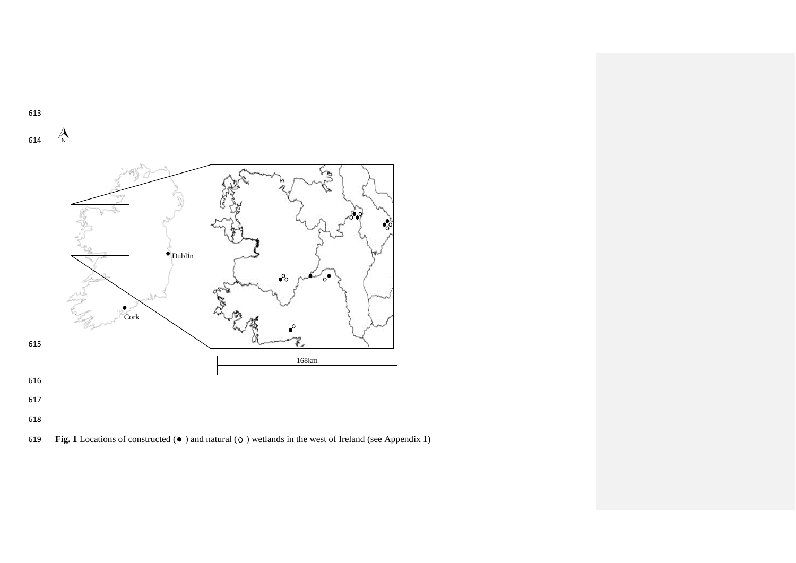

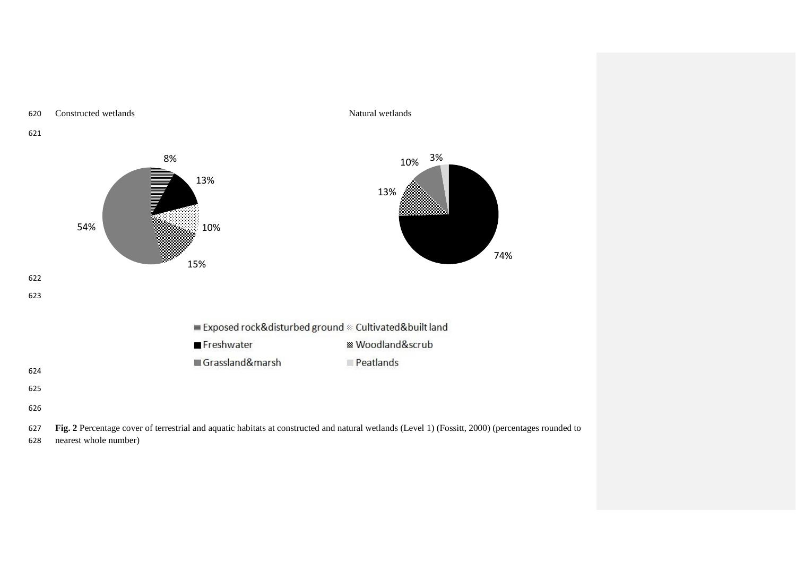

628 nearest whole number)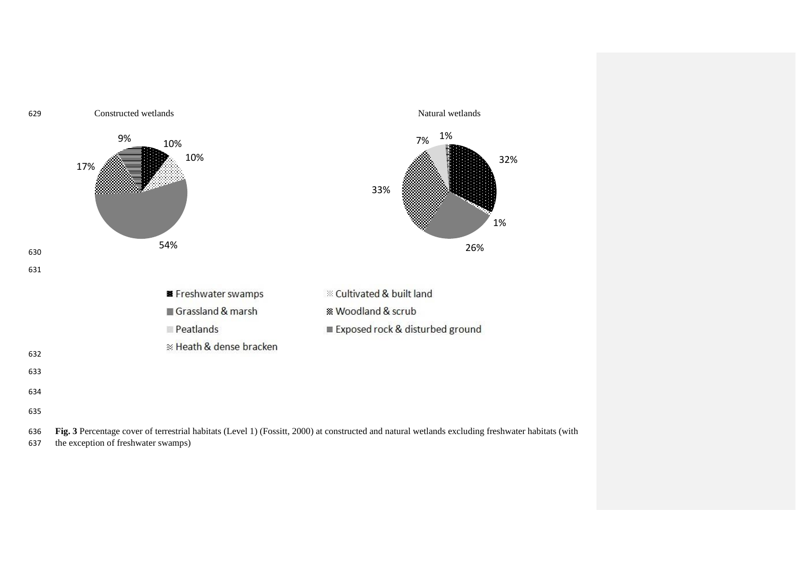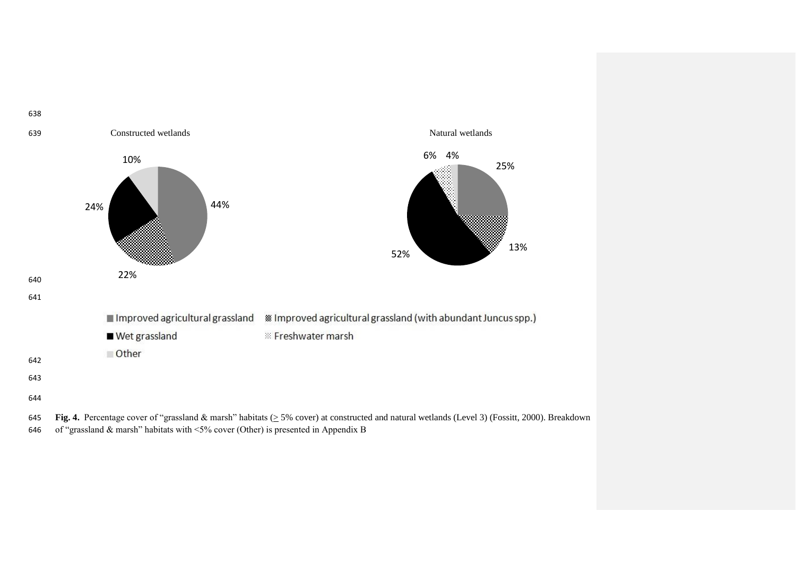

646 of "grassland & marsh" habitats with  $\leq 5\%$  cover (Other) is presented in Appendix B